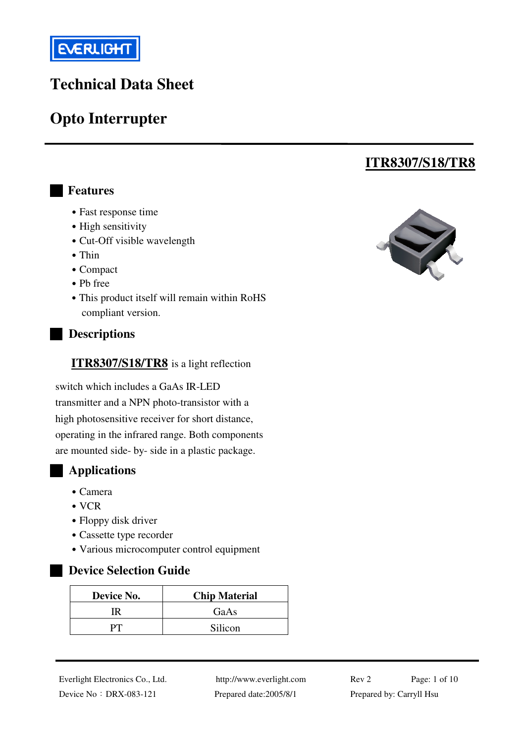

# **Technical Data Sheet**

# **Opto Interrupter**

### █ **Features**

- Fast response time
- High sensitivity
- Cut-Off visible wavelength
- Thin
- ․Compact
- ․Pb free
- This product itself will remain within RoHS compliant version.

#### █ **Descriptions**

#### **ITR8307/S18/TR8** is a light reflection

switch which includes a GaAs IR-LED transmitter and a NPN photo-transistor with a high photosensitive receiver for short distance, operating in the infrared range. Both components are mounted side- by- side in a plastic package.

### █ **Applications**

- ․Camera
- ․VCR
- Floppy disk driver
- Cassette type recorder
- ․Various microcomputer control equipment

#### █ **Device Selection Guide**

| Device No. | <b>Chip Material</b> |  |  |
|------------|----------------------|--|--|
| ΠR         | GaAs                 |  |  |
|            | Silicon              |  |  |



**ITR8307/S18/TR8**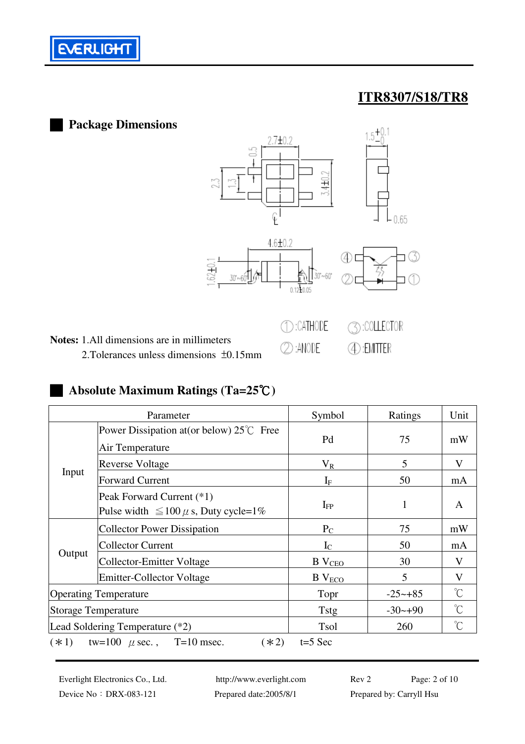

### █ **Package Dimensions**  +0.  $2.7 + 0.2$ С<br>СНД  $\varrho$  $0.65$  $4.6 ± 0.2$ 40 E ි  $30 - 60$ 30'~60 0.1210.05 **◯:CATHODE 3: COLLECTOR Notes:** 1.All dimensions are in millimeters @:ANODE **4**:EMITTER 2.Tolerances unless dimensions ±0.15mm

## █ **Absolute Maximum Ratings (Ta=25**℃**)**

| Parameter                                                   |                                                                          | Symbol        | Ratings     | Unit                 |
|-------------------------------------------------------------|--------------------------------------------------------------------------|---------------|-------------|----------------------|
| Input                                                       | Power Dissipation at (or below) $25^{\circ}$ Free<br>Air Temperature     | Pd            | 75          | mW                   |
|                                                             | <b>Reverse Voltage</b>                                                   | $\rm V_R$     | 5           | V                    |
|                                                             | <b>Forward Current</b>                                                   | $I_{\rm F}$   | 50          | mA                   |
|                                                             | Peak Forward Current (*1)<br>Pulse width $\leq 100 \mu$ s, Duty cycle=1% | $I_{FP}$      | 1           | A                    |
|                                                             | <b>Collector Power Dissipation</b>                                       | $P_{C}$       | 75          | mW                   |
|                                                             | <b>Collector Current</b>                                                 | $I_{\rm C}$   | 50          | mA                   |
| Output                                                      | <b>Collector-Emitter Voltage</b>                                         | $B$ $VCEO$    | 30          | V                    |
|                                                             | <b>Emitter-Collector Voltage</b>                                         | $B$ $V_{ECO}$ | 5           | V                    |
| <b>Operating Temperature</b>                                |                                                                          | Topr          | $-25 - +85$ | $\mathrm{C}^{\circ}$ |
| <b>Storage Temperature</b>                                  |                                                                          | Tstg          | $-30-+90$   | $\mathrm{C}^{\circ}$ |
| Lead Soldering Temperature (*2)                             |                                                                          | Tsol          | 260         | $\mathrm{C}^{\circ}$ |
| $(*1)$ tw=100 $\mu$ sec., T=10 msec.<br>$(*2)$<br>$t=5$ Sec |                                                                          |               |             |                      |

Device No: DRX-083-121 Prepared date:2005/8/1 Prepared by: Carryll Hsu

Everlight Electronics Co., Ltd. http://www.everlight.com Rev 2 Page: 2 of 10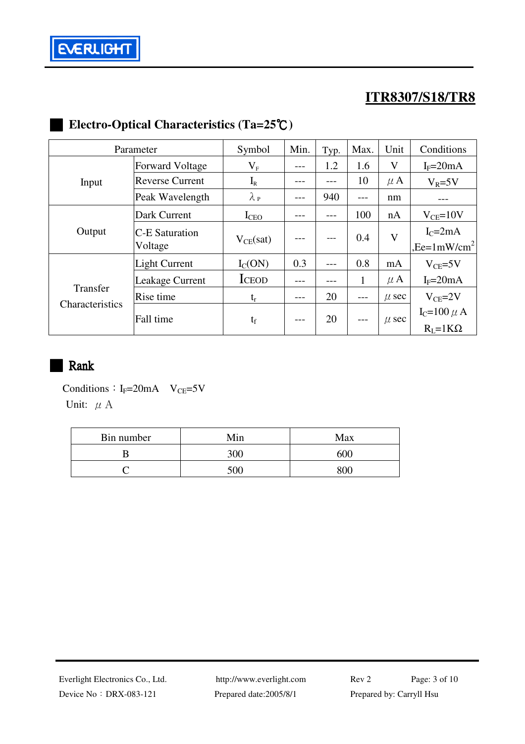

# █ **Electro-Optical Characteristics (Ta=25**℃**)**

| Parameter       |                                  | Symbol           | Min. | Typ. | Max.         | Unit         | Conditions                          |
|-----------------|----------------------------------|------------------|------|------|--------------|--------------|-------------------------------------|
|                 | <b>Forward Voltage</b>           | $\rm V_F$        | ---  | 1.2  | 1.6          | V            | $I_F = 20mA$                        |
| Input           | <b>Reverse Current</b>           | $I_{R}$          |      | ---  | 10           | $\mu$ A      | $V_R = 5V$                          |
|                 | Peak Wavelength                  | $\lambda_{P}$    |      | 940  |              | nm           |                                     |
|                 | Dark Current                     | I <sub>CEO</sub> |      | ---  | 100          | nA           | $V_{CE}$ =10V                       |
| Output          | <b>C-E Saturation</b><br>Voltage | $V_{CE}(sat)$    |      |      | 0.4          | $\mathbf{V}$ | $IC=2mA$<br>,Ee= $1 \text{mW/cm}^2$ |
|                 | <b>Light Current</b>             | $I_{C}(ON)$      | 0.3  | ---  | 0.8          | mA           | $V_{CE} = 5V$                       |
|                 | Leakage Current                  | <b>ICEOD</b>     |      |      | $\mathbf{1}$ | $\mu$ A      | $I_F = 20mA$                        |
| Transfer        | Rise time                        | $t_{r}$          |      | 20   | $---$        | $\mu$ sec    | $V_{CE} = 2V$                       |
| Characteristics | Fall time                        | $t_f$            | ---  | 20   |              | $\mu$ sec    | $I_C=100 \mu A$<br>$R_I = 1K\Omega$ |

## █ Rank

Conditions:  $I_F=20mA$  V<sub>CE</sub>=5V Unit:  $\mu$  A

| Bin number | Min | Max |
|------------|-----|-----|
|            | 300 | 600 |
|            | 500 | 30ሴ |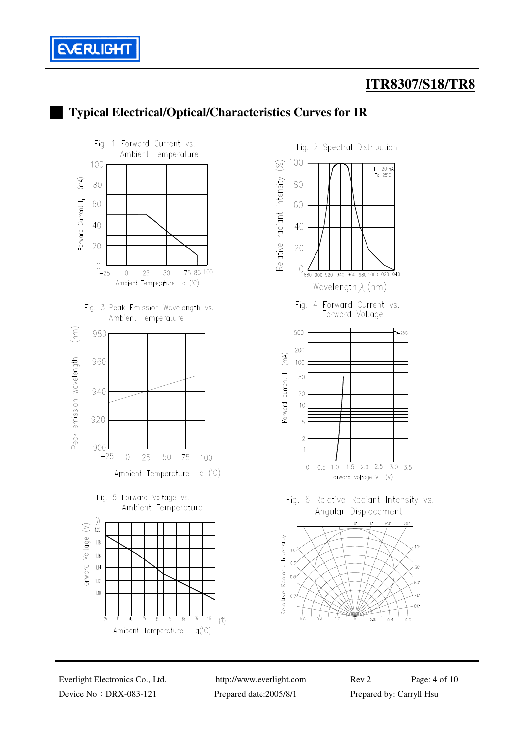



### █ **Typical Electrical/Optical/Characteristics Curves for IR**

Device No: DRX-083-121 Prepared date:2005/8/1 Prepared by: Carryll Hsu

Everlight Electronics Co., Ltd. http://www.everlight.com Rev 2 Page: 4 of 10

3.5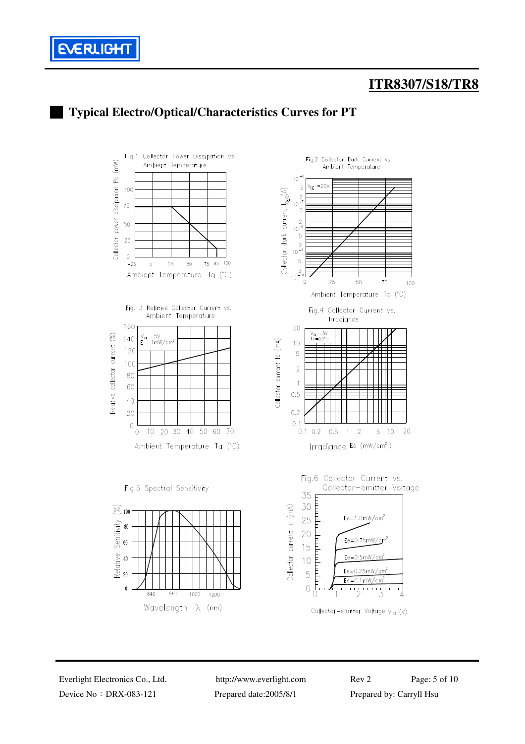





Device No: DRX-083-121 Prepared date:2005/8/1 Prepared by: Carryll Hsu

Everlight Electronics Co., Ltd. http://www.everlight.com Rev 2 Page: 5 of 10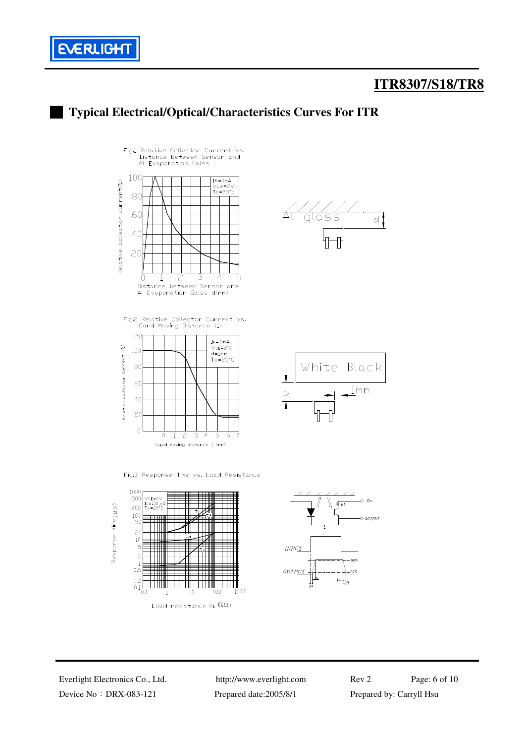



<sup>█</sup> **Typical Electrical/Optical/Characteristics Curves For ITR**

Fig.2 Relative Collector Current vs.<br>Card Moving Distance (1)













Device No: DRX-083-121 Prepared date:2005/8/1 Prepared by: Carryll Hsu

Everlight Electronics Co., Ltd. http://www.everlight.com Rev 2 Page: 6 of 10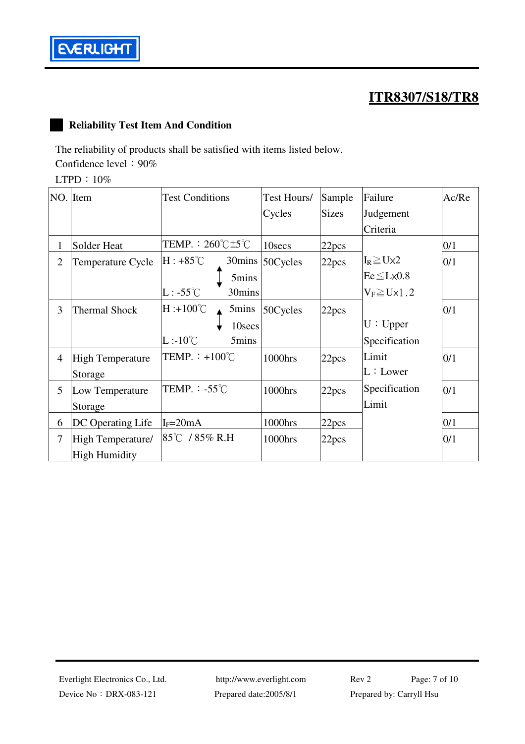

### █ **Reliability Test Item And Condition**

The reliability of products shall be satisfied with items listed below.

Confidence level:  $90\%$ 

LTPD:10%

|                | $NO.$ Item              | <b>Test Conditions</b>                    | Test Hours/ | Sample            | Failure                | Ac/Re |
|----------------|-------------------------|-------------------------------------------|-------------|-------------------|------------------------|-------|
|                |                         |                                           | Cycles      | <b>Sizes</b>      | Judgement              |       |
|                |                         |                                           |             |                   | Criteria               |       |
| 1              | Solder Heat             | TEMP. : $260^{\circ}$ C $\pm 5^{\circ}$ C | 10secs      | 22pcs             |                        | 0/1   |
| $\overline{2}$ | Temperature Cycle       | $H: +85^{\circ}C$<br>30mins               | 50Cycles    | 22pcs             | $I_R \geq U \times 2$  | 0/1   |
|                |                         | 5mins                                     |             |                   | $Ee \leq L \times 0.8$ |       |
|                |                         | $L: -55^{\circ}C$<br>30mins               |             |                   | $V_F \ge U \times 1.2$ |       |
| 3              | <b>Thermal Shock</b>    | $H : +100^{\circ}C$<br>5mins              | 50Cycles    | 22pcs             |                        | 0/1   |
|                |                         | 10secs                                    |             |                   | U: Upper               |       |
|                |                         | $L:10^{\circ}C$<br>5mins                  |             |                   | Specification          |       |
| 4              | <b>High Temperature</b> | TEMP. $\div$ +100°C                       | 1000hrs     | 22pcs             | Limit                  | 0/1   |
|                | Storage                 |                                           |             |                   | L:Lower                |       |
| 5              | Low Temperature         | TEMP. $-55^{\circ}$ C                     | 1000hrs     | 22pcs             | Specification          | 0/1   |
|                | Storage                 |                                           |             |                   | Limit                  |       |
| 6              | DC Operating Life       | $I_F = 20mA$                              | 1000hrs     | 22 <sub>pcs</sub> |                        | 0/1   |
| $\tau$         | High Temperature/       | 85°C / 85% R.H                            | 1000hrs     | 22pcs             |                        | 0/1   |
|                | <b>High Humidity</b>    |                                           |             |                   |                        |       |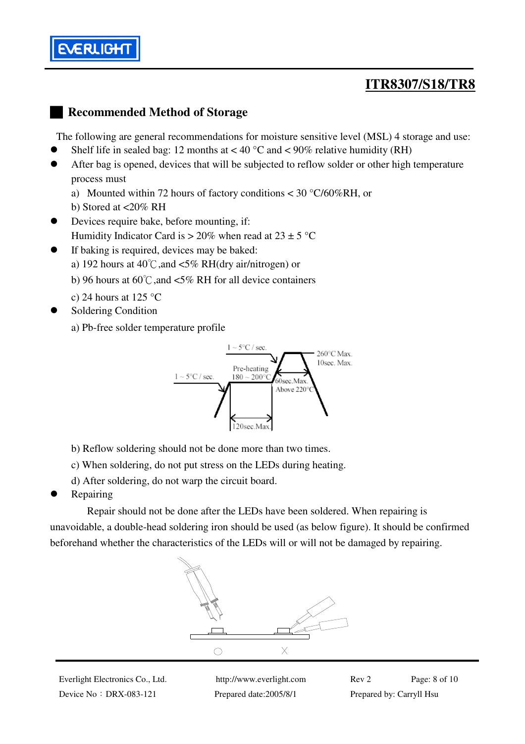

### █ **Recommended Method of Storage**

The following are general recommendations for moisture sensitive level (MSL) 4 storage and use:

- Shelf life in sealed bag: 12 months at  $< 40^{\circ}$ C and  $< 90\%$  relative humidity (RH)
- After bag is opened, devices that will be subjected to reflow solder or other high temperature process must
	- a) Mounted within 72 hours of factory conditions < 30 °C/60%RH, or
	- b) Stored at <20% RH
- Devices require bake, before mounting, if: Humidity Indicator Card is  $> 20\%$  when read at  $23 \pm 5$  °C
- If baking is required, devices may be baked:
	- a) 192 hours at  $40^{\circ}$ C, and <5% RH(dry air/nitrogen) or
	- b) 96 hours at 60℃,and <5% RH for all device containers
	- c) 24 hours at 125  $\degree$ C
- Soldering Condition

a) Pb-free solder temperature profile



- b) Reflow soldering should not be done more than two times.
- c) When soldering, do not put stress on the LEDs during heating.
- d) After soldering, do not warp the circuit board.
- Repairing

 Repair should not be done after the LEDs have been soldered. When repairing is unavoidable, a double-head soldering iron should be used (as below figure). It should be confirmed beforehand whether the characteristics of the LEDs will or will not be damaged by repairing.



Device No:DRX-083-121 Prepared date:2005/8/1 Prepared by: Carryll Hsu

Everlight Electronics Co., Ltd. http://www.everlight.com Rev 2 Page: 8 of 10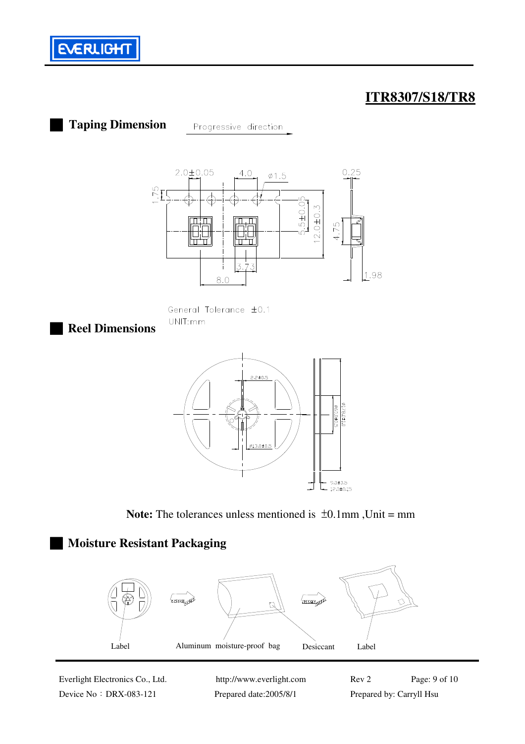

█ **Taping Dimension**

Progressive direction







**Note:** The tolerances unless mentioned is  $\pm 0.1$ mm, Unit = mm

## █ **Moisture Resistant Packaging**



Device No: DRX-083-121 Prepared date:2005/8/1 Prepared by: Carryll Hsu

Everlight Electronics Co., Ltd. http://www.everlight.com Rev 2 Page: 9 of 10